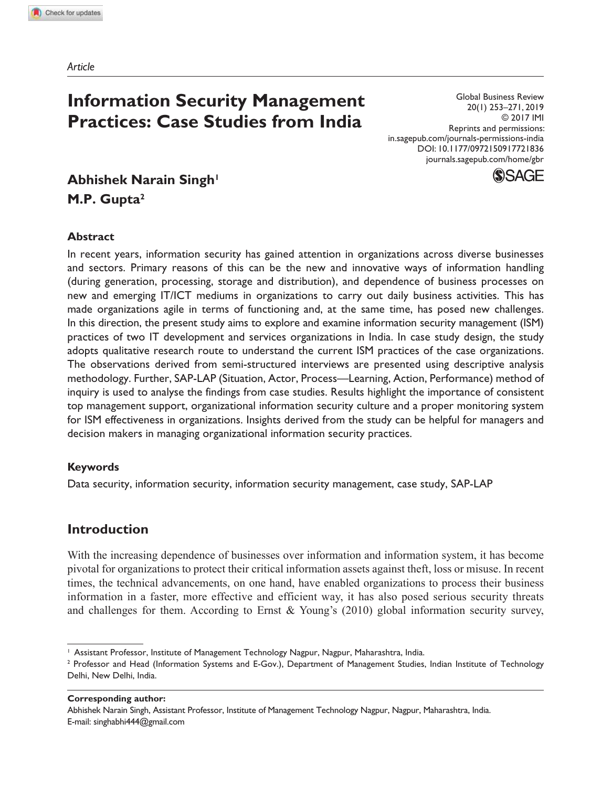*Article*

# **Information Security Management Practices: Case Studies from India**

Global Business Review 20(1) 253–271, 2019 © 2017 IMI Reprints and permissions: in.sagepub.com/journals-permissions-india DOI: 10.1177/0972150917721836 journals.sagepub.com/home/gbr



# **Abhishek Narain Singh<sup>1</sup> M.P. Gupta<sup>2</sup>**

### **Abstract**

In recent years, information security has gained attention in organizations across diverse businesses and sectors. Primary reasons of this can be the new and innovative ways of information handling (during generation, processing, storage and distribution), and dependence of business processes on new and emerging IT/ICT mediums in organizations to carry out daily business activities. This has made organizations agile in terms of functioning and, at the same time, has posed new challenges. In this direction, the present study aims to explore and examine information security management (ISM) practices of two IT development and services organizations in India. In case study design, the study adopts qualitative research route to understand the current ISM practices of the case organizations. The observations derived from semi-structured interviews are presented using descriptive analysis methodology. Further, SAP-LAP (Situation, Actor, Process—Learning, Action, Performance) method of inquiry is used to analyse the findings from case studies. Results highlight the importance of consistent top management support, organizational information security culture and a proper monitoring system for ISM effectiveness in organizations. Insights derived from the study can be helpful for managers and decision makers in managing organizational information security practices.

#### **Keywords**

Data security, information security, information security management, case study, SAP-LAP

## **Introduction**

With the increasing dependence of businesses over information and information system, it has become pivotal for organizations to protect their critical information assets against theft, loss or misuse. In recent times, the technical advancements, on one hand, have enabled organizations to process their business information in a faster, more effective and efficient way, it has also posed serious security threats and challenges for them. According to Ernst & Young's (2010) global information security survey,

Abhishek Narain Singh, Assistant Professor, Institute of Management Technology Nagpur, Nagpur, Maharashtra, India. E-mail: singhabhi444@gmail.com

<sup>1</sup> Assistant Professor, Institute of Management Technology Nagpur, Nagpur, Maharashtra, India.

<sup>2</sup> Professor and Head (Information Systems and E-Gov.), Department of Management Studies, Indian Institute of Technology Delhi, New Delhi, India.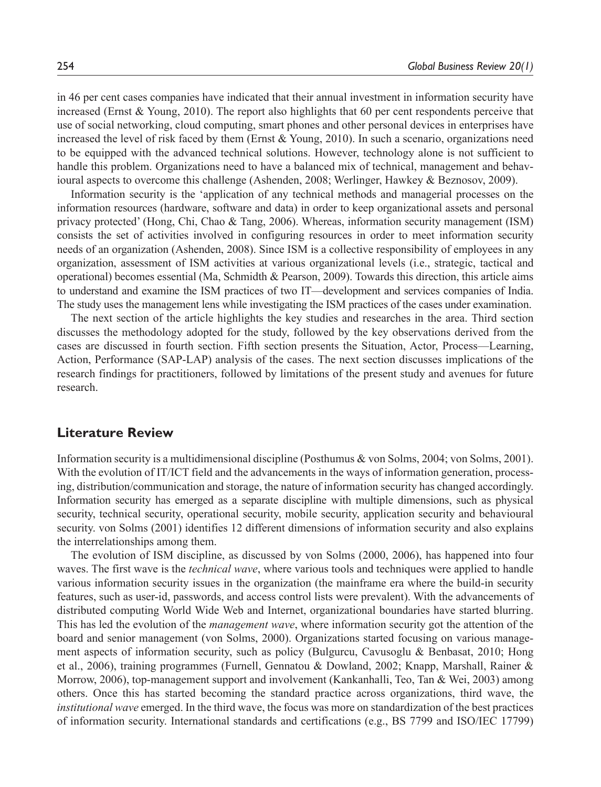in 46 per cent cases companies have indicated that their annual investment in information security have increased (Ernst & Young, 2010). The report also highlights that 60 per cent respondents perceive that use of social networking, cloud computing, smart phones and other personal devices in enterprises have increased the level of risk faced by them (Ernst & Young, 2010). In such a scenario, organizations need to be equipped with the advanced technical solutions. However, technology alone is not sufficient to handle this problem. Organizations need to have a balanced mix of technical, management and behavioural aspects to overcome this challenge (Ashenden, 2008; Werlinger, Hawkey & Beznosov, 2009).

Information security is the 'application of any technical methods and managerial processes on the information resources (hardware, software and data) in order to keep organizational assets and personal privacy protected' (Hong, Chi, Chao & Tang, 2006). Whereas, information security management (ISM) consists the set of activities involved in configuring resources in order to meet information security needs of an organization (Ashenden, 2008). Since ISM is a collective responsibility of employees in any organization, assessment of ISM activities at various organizational levels (i.e., strategic, tactical and operational) becomes essential (Ma, Schmidth & Pearson, 2009). Towards this direction, this article aims to understand and examine the ISM practices of two IT—development and services companies of India. The study uses the management lens while investigating the ISM practices of the cases under examination.

The next section of the article highlights the key studies and researches in the area. Third section discusses the methodology adopted for the study, followed by the key observations derived from the cases are discussed in fourth section. Fifth section presents the Situation, Actor, Process—Learning, Action, Performance (SAP-LAP) analysis of the cases. The next section discusses implications of the research findings for practitioners, followed by limitations of the present study and avenues for future research.

#### **Literature Review**

Information security is a multidimensional discipline (Posthumus & von Solms, 2004; von Solms, 2001). With the evolution of IT/ICT field and the advancements in the ways of information generation, processing, distribution/communication and storage, the nature of information security has changed accordingly. Information security has emerged as a separate discipline with multiple dimensions, such as physical security, technical security, operational security, mobile security, application security and behavioural security. von Solms (2001) identifies 12 different dimensions of information security and also explains the interrelationships among them.

The evolution of ISM discipline, as discussed by von Solms (2000, 2006), has happened into four waves. The first wave is the *technical wave*, where various tools and techniques were applied to handle various information security issues in the organization (the mainframe era where the build-in security features, such as user-id, passwords, and access control lists were prevalent). With the advancements of distributed computing World Wide Web and Internet, organizational boundaries have started blurring. This has led the evolution of the *management wave*, where information security got the attention of the board and senior management (von Solms, 2000). Organizations started focusing on various management aspects of information security, such as policy (Bulgurcu, Cavusoglu & Benbasat, 2010; Hong et al., 2006), training programmes (Furnell, Gennatou & Dowland, 2002; Knapp, Marshall, Rainer & Morrow, 2006), top-management support and involvement (Kankanhalli, Teo, Tan & Wei, 2003) among others. Once this has started becoming the standard practice across organizations, third wave, the *institutional wave* emerged. In the third wave, the focus was more on standardization of the best practices of information security. International standards and certifications (e.g., BS 7799 and ISO/IEC 17799)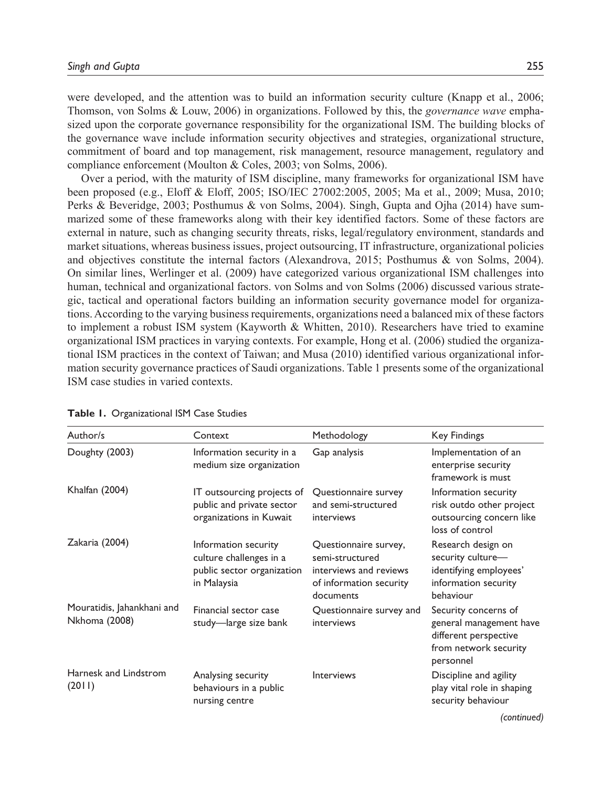were developed, and the attention was to build an information security culture (Knapp et al., 2006; Thomson, von Solms & Louw, 2006) in organizations. Followed by this, the *governance wave* emphasized upon the corporate governance responsibility for the organizational ISM. The building blocks of the governance wave include information security objectives and strategies, organizational structure, commitment of board and top management, risk management, resource management, regulatory and compliance enforcement (Moulton & Coles, 2003; von Solms, 2006).

Over a period, with the maturity of ISM discipline, many frameworks for organizational ISM have been proposed (e.g., Eloff & Eloff, 2005; ISO/IEC 27002:2005, 2005; Ma et al., 2009; Musa, 2010; Perks & Beveridge, 2003; Posthumus & von Solms, 2004). Singh, Gupta and Ojha (2014) have summarized some of these frameworks along with their key identified factors. Some of these factors are external in nature, such as changing security threats, risks, legal/regulatory environment, standards and market situations, whereas business issues, project outsourcing, IT infrastructure, organizational policies and objectives constitute the internal factors (Alexandrova, 2015; Posthumus & von Solms, 2004). On similar lines, Werlinger et al. (2009) have categorized various organizational ISM challenges into human, technical and organizational factors. von Solms and von Solms (2006) discussed various strategic, tactical and operational factors building an information security governance model for organizations. According to the varying business requirements, organizations need a balanced mix of these factors to implement a robust ISM system (Kayworth & Whitten, 2010). Researchers have tried to examine organizational ISM practices in varying contexts. For example, Hong et al. (2006) studied the organizational ISM practices in the context of Taiwan; and Musa (2010) identified various organizational information security governance practices of Saudi organizations. Table 1 presents some of the organizational ISM case studies in varied contexts.

| Author/s                                    | Context                                                                                      | Methodology                                                                                                | Key Findings                                                                                                            |
|---------------------------------------------|----------------------------------------------------------------------------------------------|------------------------------------------------------------------------------------------------------------|-------------------------------------------------------------------------------------------------------------------------|
| Doughty (2003)                              | Information security in a<br>medium size organization                                        | Gap analysis                                                                                               | Implementation of an<br>enterprise security<br>framework is must                                                        |
| Khalfan (2004)                              | IT outsourcing projects of<br>public and private sector<br>organizations in Kuwait           | Questionnaire survey<br>and semi-structured<br>interviews                                                  | Information security<br>risk outdo other project<br>outsourcing concern like<br>loss of control                         |
| Zakaria (2004)                              | Information security<br>culture challenges in a<br>public sector organization<br>in Malaysia | Questionnaire survey,<br>semi-structured<br>interviews and reviews<br>of information security<br>documents | Research design on<br>security culture-<br>identifying employees'<br>information security<br>behaviour                  |
| Mouratidis, Jahankhani and<br>Nkhoma (2008) | Financial sector case<br>study-large size bank                                               | Questionnaire survey and<br>interviews                                                                     | Security concerns of<br>general management have<br>different perspective<br>from network security<br>personnel          |
| Harnesk and Lindstrom<br>(2011)             | Analysing security<br>behaviours in a public<br>nursing centre                               | <b>Interviews</b>                                                                                          | Discipline and agility<br>play vital role in shaping<br>security behaviour<br>$\sim$ $\sim$ $\sim$ $\sim$ $\sim$ $\sim$ |

#### **Table 1.** Organizational ISM Case Studies

*(continued)*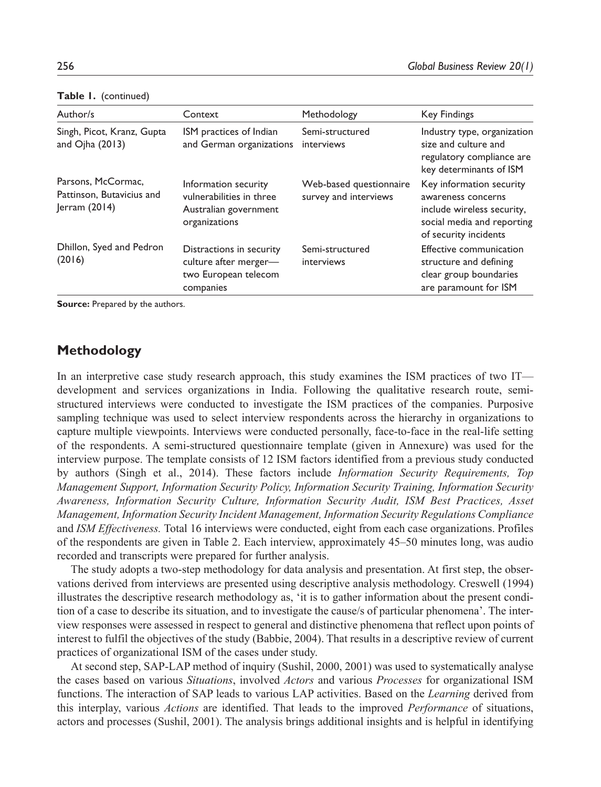| Author/s                                                           | Context                                                                                    | Methodology                                      | <b>Key Findings</b>                                                                                                                 |
|--------------------------------------------------------------------|--------------------------------------------------------------------------------------------|--------------------------------------------------|-------------------------------------------------------------------------------------------------------------------------------------|
| Singh, Picot, Kranz, Gupta<br>and $Oiha$ $(2013)$                  | ISM practices of Indian<br>and German organizations                                        | Semi-structured<br><i>interviews</i>             | Industry type, organization<br>size and culture and<br>regulatory compliance are<br>key determinants of ISM                         |
| Parsons, McCormac,<br>Pattinson, Butavicius and<br>Jerram $(2014)$ | Information security<br>vulnerabilities in three<br>Australian government<br>organizations | Web-based questionnaire<br>survey and interviews | Key information security<br>awareness concerns<br>include wireless security,<br>social media and reporting<br>of security incidents |
| Dhillon, Syed and Pedron<br>(2016)                                 | Distractions in security<br>culture after merger-<br>two European telecom<br>companies     | Semi-structured<br>interviews                    | Effective communication<br>structure and defining<br>clear group boundaries<br>are paramount for ISM                                |

**Table 1.** (continued)

**Source:** Prepared by the authors.

### **Methodology**

In an interpretive case study research approach, this study examines the ISM practices of two IT development and services organizations in India. Following the qualitative research route, semistructured interviews were conducted to investigate the ISM practices of the companies. Purposive sampling technique was used to select interview respondents across the hierarchy in organizations to capture multiple viewpoints. Interviews were conducted personally, face-to-face in the real-life setting of the respondents. A semi-structured questionnaire template (given in Annexure) was used for the interview purpose. The template consists of 12 ISM factors identified from a previous study conducted by authors (Singh et al., 2014). These factors include *Information Security Requirements, Top Management Support, Information Security Policy, Information Security Training, Information Security Awareness, Information Security Culture, Information Security Audit, ISM Best Practices, Asset Management, Information Security Incident Management, Information Security Regulations Compliance*  and *ISM Effectiveness.* Total 16 interviews were conducted, eight from each case organizations. Profiles of the respondents are given in Table 2. Each interview, approximately 45–50 minutes long, was audio recorded and transcripts were prepared for further analysis.

The study adopts a two-step methodology for data analysis and presentation. At first step, the observations derived from interviews are presented using descriptive analysis methodology. Creswell (1994) illustrates the descriptive research methodology as, 'it is to gather information about the present condition of a case to describe its situation, and to investigate the cause/s of particular phenomena'. The interview responses were assessed in respect to general and distinctive phenomena that reflect upon points of interest to fulfil the objectives of the study (Babbie, 2004). That results in a descriptive review of current practices of organizational ISM of the cases under study.

At second step, SAP-LAP method of inquiry (Sushil, 2000, 2001) was used to systematically analyse the cases based on various *Situations*, involved *Actors* and various *Processes* for organizational ISM functions. The interaction of SAP leads to various LAP activities. Based on the *Learning* derived from this interplay, various *Actions* are identified. That leads to the improved *Performance* of situations, actors and processes (Sushil, 2001). The analysis brings additional insights and is helpful in identifying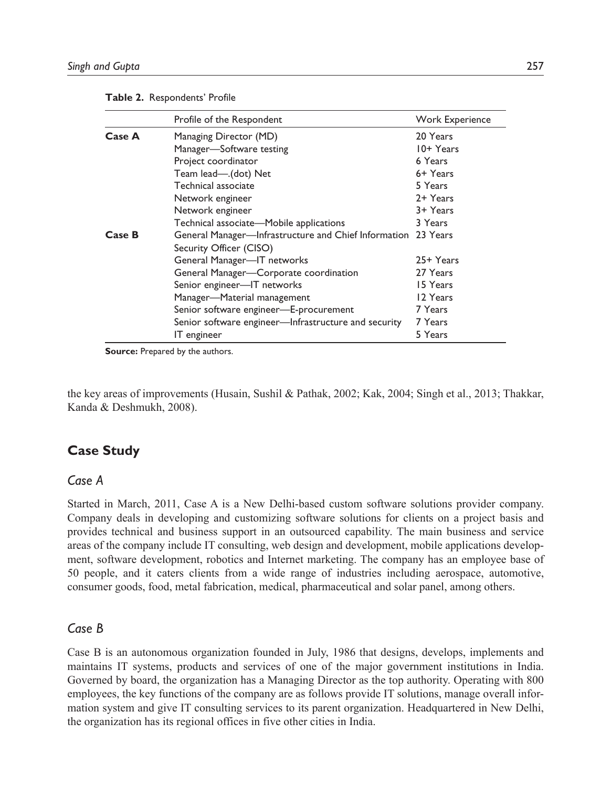|        | Profile of the Respondent                                     | <b>Work Experience</b> |
|--------|---------------------------------------------------------------|------------------------|
| Case A | Managing Director (MD)                                        | 20 Years               |
|        | Manager-Software testing                                      | 10+ Years              |
|        | Project coordinator                                           | 6 Years                |
|        | Team lead-(dot) Net                                           | 6+ Years               |
|        | Technical associate                                           | 5 Years                |
|        | Network engineer                                              | 2+ Years               |
|        | Network engineer                                              | 3+ Years               |
|        | Technical associate—Mobile applications                       | 3 Years                |
| Case B | General Manager—Infrastructure and Chief Information 23 Years |                        |
|        | Security Officer (CISO)                                       |                        |
|        | General Manager-IT networks                                   | 25+ Years              |
|        | General Manager-Corporate coordination                        | 27 Years               |
|        | Senior engineer-IT networks                                   | 15 Years               |
|        | Manager-Material management                                   | 12 Years               |
|        | Senior software engineer-E-procurement                        | 7 Years                |
|        | Senior software engineer-Infrastructure and security          | 7 Years                |
|        | IT engineer                                                   | 5 Years                |

**Table 2.** Respondents' Profile

**Source:** Prepared by the authors.

the key areas of improvements (Husain, Sushil & Pathak, 2002; Kak, 2004; Singh et al., 2013; Thakkar, Kanda & Deshmukh, 2008).

## **Case Study**

## *Case A*

Started in March, 2011, Case A is a New Delhi-based custom software solutions provider company. Company deals in developing and customizing software solutions for clients on a project basis and provides technical and business support in an outsourced capability. The main business and service areas of the company include IT consulting, web design and development, mobile applications development, software development, robotics and Internet marketing. The company has an employee base of 50 people, and it caters clients from a wide range of industries including aerospace, automotive, consumer goods, food, metal fabrication, medical, pharmaceutical and solar panel, among others.

## *Case B*

Case B is an autonomous organization founded in July, 1986 that designs, develops, implements and maintains IT systems, products and services of one of the major government institutions in India. Governed by board, the organization has a Managing Director as the top authority. Operating with 800 employees, the key functions of the company are as follows provide IT solutions, manage overall information system and give IT consulting services to its parent organization. Headquartered in New Delhi, the organization has its regional offices in five other cities in India.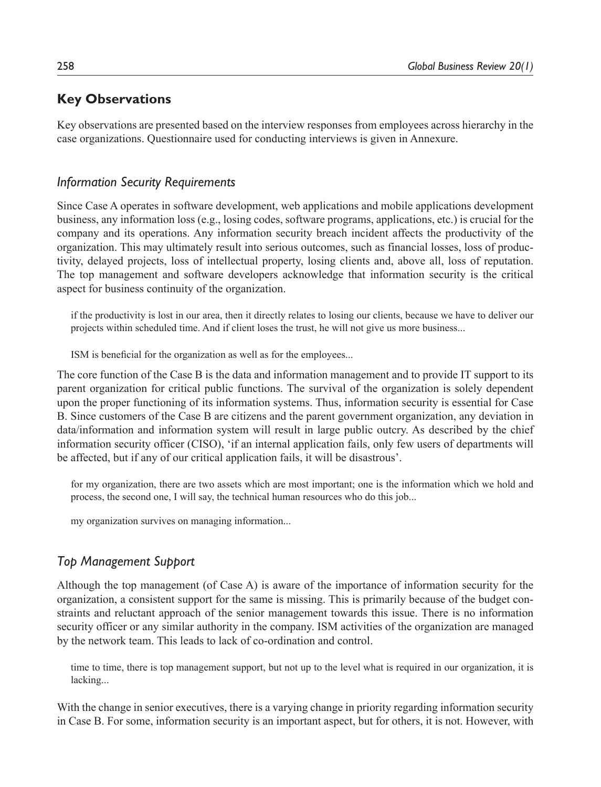# **Key Observations**

Key observations are presented based on the interview responses from employees across hierarchy in the case organizations. Questionnaire used for conducting interviews is given in Annexure.

# *Information Security Requirements*

Since Case A operates in software development, web applications and mobile applications development business, any information loss (e.g., losing codes, software programs, applications, etc.) is crucial for the company and its operations. Any information security breach incident affects the productivity of the organization. This may ultimately result into serious outcomes, such as financial losses, loss of productivity, delayed projects, loss of intellectual property, losing clients and, above all, loss of reputation. The top management and software developers acknowledge that information security is the critical aspect for business continuity of the organization.

if the productivity is lost in our area, then it directly relates to losing our clients, because we have to deliver our projects within scheduled time. And if client loses the trust, he will not give us more business...

ISM is beneficial for the organization as well as for the employees...

The core function of the Case B is the data and information management and to provide IT support to its parent organization for critical public functions. The survival of the organization is solely dependent upon the proper functioning of its information systems. Thus, information security is essential for Case B. Since customers of the Case B are citizens and the parent government organization, any deviation in data/information and information system will result in large public outcry. As described by the chief information security officer (CISO), 'if an internal application fails, only few users of departments will be affected, but if any of our critical application fails, it will be disastrous'.

for my organization, there are two assets which are most important; one is the information which we hold and process, the second one, I will say, the technical human resources who do this job...

my organization survives on managing information...

# *Top Management Support*

Although the top management (of Case A) is aware of the importance of information security for the organization, a consistent support for the same is missing. This is primarily because of the budget constraints and reluctant approach of the senior management towards this issue. There is no information security officer or any similar authority in the company. ISM activities of the organization are managed by the network team. This leads to lack of co-ordination and control.

time to time, there is top management support, but not up to the level what is required in our organization, it is lacking...

With the change in senior executives, there is a varying change in priority regarding information security in Case B. For some, information security is an important aspect, but for others, it is not. However, with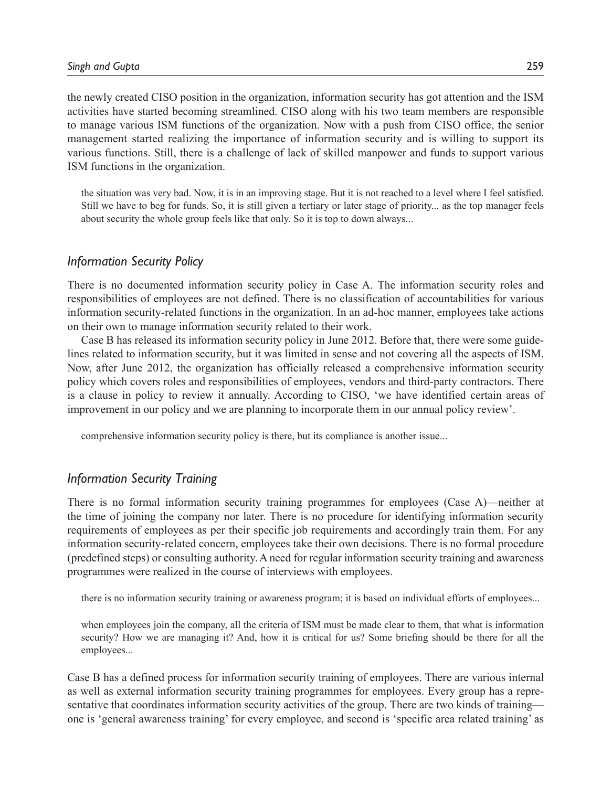the newly created CISO position in the organization, information security has got attention and the ISM activities have started becoming streamlined. CISO along with his two team members are responsible to manage various ISM functions of the organization. Now with a push from CISO office, the senior management started realizing the importance of information security and is willing to support its various functions. Still, there is a challenge of lack of skilled manpower and funds to support various ISM functions in the organization.

the situation was very bad. Now, it is in an improving stage. But it is not reached to a level where I feel satisfied. Still we have to beg for funds. So, it is still given a tertiary or later stage of priority... as the top manager feels about security the whole group feels like that only. So it is top to down always...

## *Information Security Policy*

There is no documented information security policy in Case A. The information security roles and responsibilities of employees are not defined. There is no classification of accountabilities for various information security-related functions in the organization. In an ad-hoc manner, employees take actions on their own to manage information security related to their work.

Case B has released its information security policy in June 2012. Before that, there were some guidelines related to information security, but it was limited in sense and not covering all the aspects of ISM. Now, after June 2012, the organization has officially released a comprehensive information security policy which covers roles and responsibilities of employees, vendors and third-party contractors. There is a clause in policy to review it annually. According to CISO, 'we have identified certain areas of improvement in our policy and we are planning to incorporate them in our annual policy review'.

comprehensive information security policy is there, but its compliance is another issue...

## *Information Security Training*

There is no formal information security training programmes for employees (Case A)—neither at the time of joining the company nor later. There is no procedure for identifying information security requirements of employees as per their specific job requirements and accordingly train them. For any information security-related concern, employees take their own decisions. There is no formal procedure (predefined steps) or consulting authority. A need for regular information security training and awareness programmes were realized in the course of interviews with employees.

there is no information security training or awareness program; it is based on individual efforts of employees...

when employees join the company, all the criteria of ISM must be made clear to them, that what is information security? How we are managing it? And, how it is critical for us? Some briefing should be there for all the employees...

Case B has a defined process for information security training of employees. There are various internal as well as external information security training programmes for employees. Every group has a representative that coordinates information security activities of the group. There are two kinds of training one is 'general awareness training' for every employee, and second is 'specific area related training' as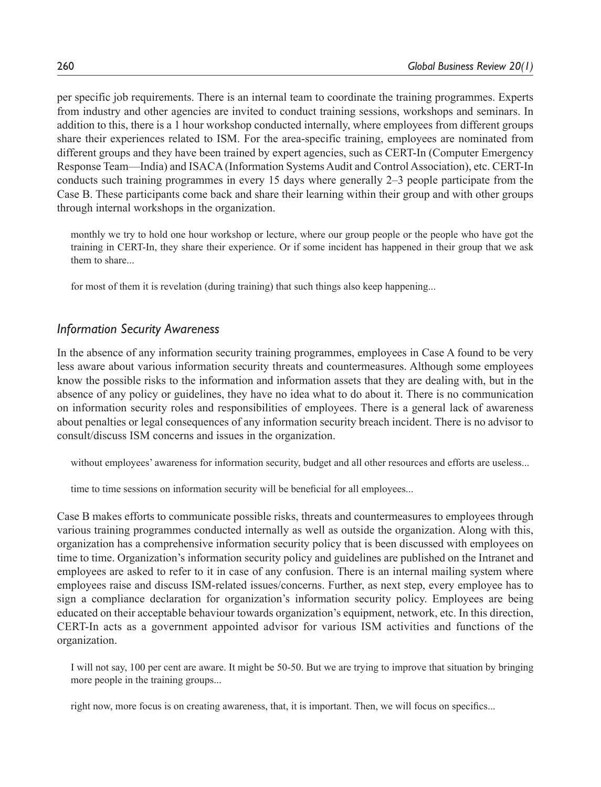per specific job requirements. There is an internal team to coordinate the training programmes. Experts from industry and other agencies are invited to conduct training sessions, workshops and seminars. In addition to this, there is a 1 hour workshop conducted internally, where employees from different groups share their experiences related to ISM. For the area-specific training, employees are nominated from different groups and they have been trained by expert agencies, such as CERT-In (Computer Emergency Response Team—India) and ISACA (Information Systems Audit and Control Association), etc. CERT-In conducts such training programmes in every 15 days where generally 2–3 people participate from the Case B. These participants come back and share their learning within their group and with other groups through internal workshops in the organization.

monthly we try to hold one hour workshop or lecture, where our group people or the people who have got the training in CERT-In, they share their experience. Or if some incident has happened in their group that we ask them to share...

for most of them it is revelation (during training) that such things also keep happening...

## *Information Security Awareness*

In the absence of any information security training programmes, employees in Case A found to be very less aware about various information security threats and countermeasures. Although some employees know the possible risks to the information and information assets that they are dealing with, but in the absence of any policy or guidelines, they have no idea what to do about it. There is no communication on information security roles and responsibilities of employees. There is a general lack of awareness about penalties or legal consequences of any information security breach incident. There is no advisor to consult/discuss ISM concerns and issues in the organization.

without employees' awareness for information security, budget and all other resources and efforts are useless...

time to time sessions on information security will be beneficial for all employees...

Case B makes efforts to communicate possible risks, threats and countermeasures to employees through various training programmes conducted internally as well as outside the organization. Along with this, organization has a comprehensive information security policy that is been discussed with employees on time to time. Organization's information security policy and guidelines are published on the Intranet and employees are asked to refer to it in case of any confusion. There is an internal mailing system where employees raise and discuss ISM-related issues/concerns. Further, as next step, every employee has to sign a compliance declaration for organization's information security policy. Employees are being educated on their acceptable behaviour towards organization's equipment, network, etc. In this direction, CERT-In acts as a government appointed advisor for various ISM activities and functions of the organization.

I will not say, 100 per cent are aware. It might be 50-50. But we are trying to improve that situation by bringing more people in the training groups...

right now, more focus is on creating awareness, that, it is important. Then, we will focus on specifics...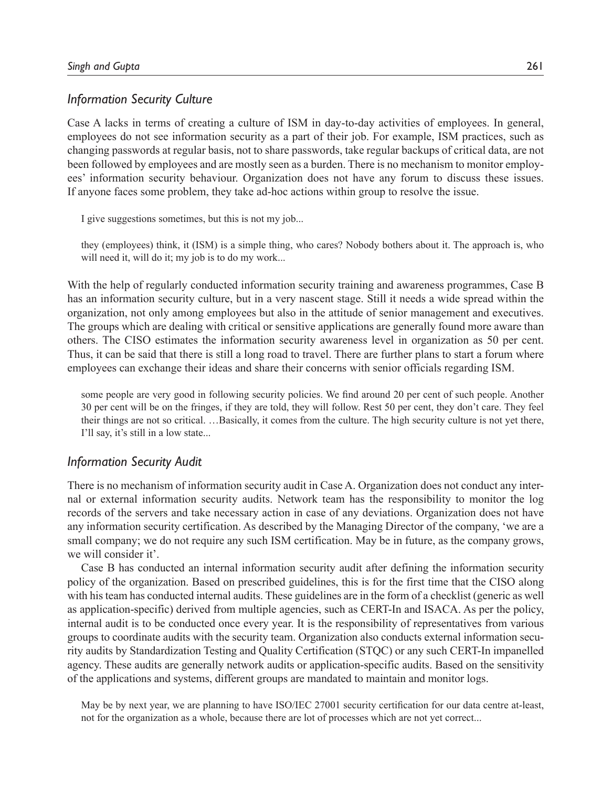### *Information Security Culture*

Case A lacks in terms of creating a culture of ISM in day-to-day activities of employees. In general, employees do not see information security as a part of their job. For example, ISM practices, such as changing passwords at regular basis, not to share passwords, take regular backups of critical data, are not been followed by employees and are mostly seen as a burden. There is no mechanism to monitor employees' information security behaviour. Organization does not have any forum to discuss these issues. If anyone faces some problem, they take ad-hoc actions within group to resolve the issue.

I give suggestions sometimes, but this is not my job...

they (employees) think, it (ISM) is a simple thing, who cares? Nobody bothers about it. The approach is, who will need it, will do it; my job is to do my work...

With the help of regularly conducted information security training and awareness programmes, Case B has an information security culture, but in a very nascent stage. Still it needs a wide spread within the organization, not only among employees but also in the attitude of senior management and executives. The groups which are dealing with critical or sensitive applications are generally found more aware than others. The CISO estimates the information security awareness level in organization as 50 per cent. Thus, it can be said that there is still a long road to travel. There are further plans to start a forum where employees can exchange their ideas and share their concerns with senior officials regarding ISM.

some people are very good in following security policies. We find around 20 per cent of such people. Another 30 per cent will be on the fringes, if they are told, they will follow. Rest 50 per cent, they don't care. They feel their things are not so critical. …Basically, it comes from the culture. The high security culture is not yet there, I'll say, it's still in a low state...

### *Information Security Audit*

There is no mechanism of information security audit in Case A. Organization does not conduct any internal or external information security audits. Network team has the responsibility to monitor the log records of the servers and take necessary action in case of any deviations. Organization does not have any information security certification. As described by the Managing Director of the company, 'we are a small company; we do not require any such ISM certification. May be in future, as the company grows, we will consider it'.

Case B has conducted an internal information security audit after defining the information security policy of the organization. Based on prescribed guidelines, this is for the first time that the CISO along with his team has conducted internal audits. These guidelines are in the form of a checklist (generic as well as application-specific) derived from multiple agencies, such as CERT-In and ISACA. As per the policy, internal audit is to be conducted once every year. It is the responsibility of representatives from various groups to coordinate audits with the security team. Organization also conducts external information security audits by Standardization Testing and Quality Certification (STQC) or any such CERT-In impanelled agency. These audits are generally network audits or application-specific audits. Based on the sensitivity of the applications and systems, different groups are mandated to maintain and monitor logs.

May be by next year, we are planning to have ISO/IEC 27001 security certification for our data centre at-least, not for the organization as a whole, because there are lot of processes which are not yet correct...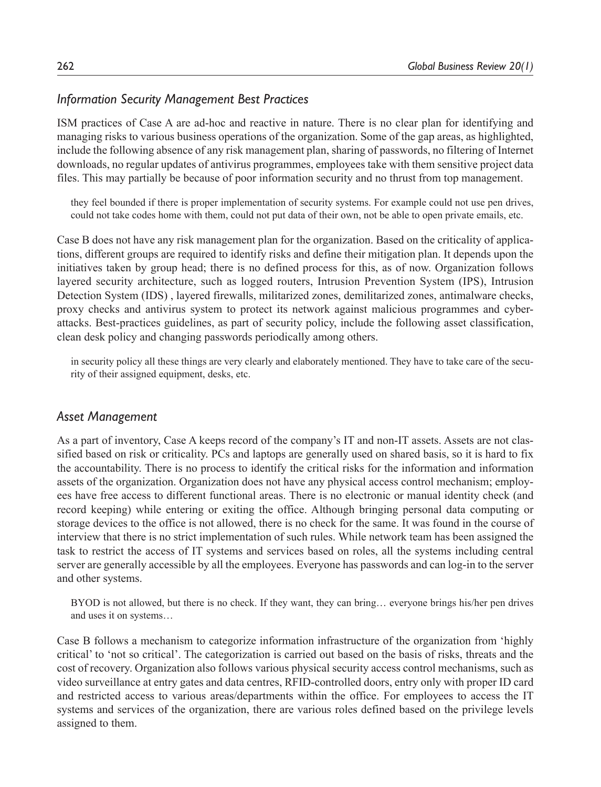# *Information Security Management Best Practices*

ISM practices of Case A are ad-hoc and reactive in nature. There is no clear plan for identifying and managing risks to various business operations of the organization. Some of the gap areas, as highlighted, include the following absence of any risk management plan, sharing of passwords, no filtering of Internet downloads, no regular updates of antivirus programmes, employees take with them sensitive project data files. This may partially be because of poor information security and no thrust from top management.

they feel bounded if there is proper implementation of security systems. For example could not use pen drives, could not take codes home with them, could not put data of their own, not be able to open private emails, etc.

Case B does not have any risk management plan for the organization. Based on the criticality of applications, different groups are required to identify risks and define their mitigation plan. It depends upon the initiatives taken by group head; there is no defined process for this, as of now. Organization follows layered security architecture, such as logged routers, Intrusion Prevention System (IPS), Intrusion Detection System (IDS) , layered firewalls, militarized zones, demilitarized zones, antimalware checks, proxy checks and antivirus system to protect its network against malicious programmes and cyberattacks. Best-practices guidelines, as part of security policy, include the following asset classification, clean desk policy and changing passwords periodically among others.

in security policy all these things are very clearly and elaborately mentioned. They have to take care of the security of their assigned equipment, desks, etc.

## *Asset Management*

As a part of inventory, Case A keeps record of the company's IT and non-IT assets. Assets are not classified based on risk or criticality. PCs and laptops are generally used on shared basis, so it is hard to fix the accountability. There is no process to identify the critical risks for the information and information assets of the organization. Organization does not have any physical access control mechanism; employees have free access to different functional areas. There is no electronic or manual identity check (and record keeping) while entering or exiting the office. Although bringing personal data computing or storage devices to the office is not allowed, there is no check for the same. It was found in the course of interview that there is no strict implementation of such rules. While network team has been assigned the task to restrict the access of IT systems and services based on roles, all the systems including central server are generally accessible by all the employees. Everyone has passwords and can log-in to the server and other systems.

BYOD is not allowed, but there is no check. If they want, they can bring… everyone brings his/her pen drives and uses it on systems…

Case B follows a mechanism to categorize information infrastructure of the organization from 'highly critical' to 'not so critical'. The categorization is carried out based on the basis of risks, threats and the cost of recovery. Organization also follows various physical security access control mechanisms, such as video surveillance at entry gates and data centres, RFID-controlled doors, entry only with proper ID card and restricted access to various areas/departments within the office. For employees to access the IT systems and services of the organization, there are various roles defined based on the privilege levels assigned to them.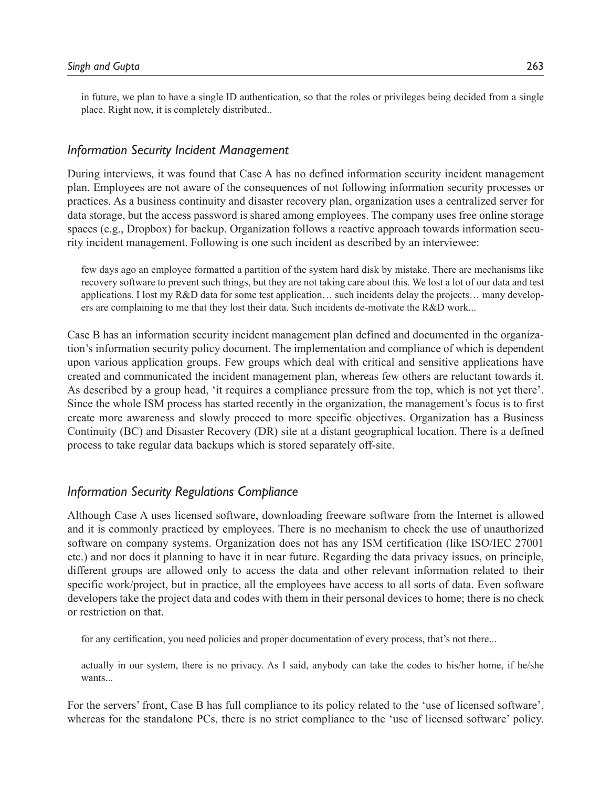in future, we plan to have a single ID authentication, so that the roles or privileges being decided from a single place. Right now, it is completely distributed..

## *Information Security Incident Management*

During interviews, it was found that Case A has no defined information security incident management plan. Employees are not aware of the consequences of not following information security processes or practices. As a business continuity and disaster recovery plan, organization uses a centralized server for data storage, but the access password is shared among employees. The company uses free online storage spaces (e.g., Dropbox) for backup. Organization follows a reactive approach towards information security incident management. Following is one such incident as described by an interviewee:

few days ago an employee formatted a partition of the system hard disk by mistake. There are mechanisms like recovery software to prevent such things, but they are not taking care about this. We lost a lot of our data and test applications. I lost my R&D data for some test application… such incidents delay the projects… many developers are complaining to me that they lost their data. Such incidents de-motivate the R&D work...

Case B has an information security incident management plan defined and documented in the organization's information security policy document. The implementation and compliance of which is dependent upon various application groups. Few groups which deal with critical and sensitive applications have created and communicated the incident management plan, whereas few others are reluctant towards it. As described by a group head, 'it requires a compliance pressure from the top, which is not yet there'. Since the whole ISM process has started recently in the organization, the management's focus is to first create more awareness and slowly proceed to more specific objectives. Organization has a Business Continuity (BC) and Disaster Recovery (DR) site at a distant geographical location. There is a defined process to take regular data backups which is stored separately off-site.

## *Information Security Regulations Compliance*

Although Case A uses licensed software, downloading freeware software from the Internet is allowed and it is commonly practiced by employees. There is no mechanism to check the use of unauthorized software on company systems. Organization does not has any ISM certification (like ISO/IEC 27001 etc.) and nor does it planning to have it in near future. Regarding the data privacy issues, on principle, different groups are allowed only to access the data and other relevant information related to their specific work/project, but in practice, all the employees have access to all sorts of data. Even software developers take the project data and codes with them in their personal devices to home; there is no check or restriction on that.

for any certification, you need policies and proper documentation of every process, that's not there...

actually in our system, there is no privacy. As I said, anybody can take the codes to his/her home, if he/she wants...

For the servers' front, Case B has full compliance to its policy related to the 'use of licensed software', whereas for the standalone PCs, there is no strict compliance to the 'use of licensed software' policy.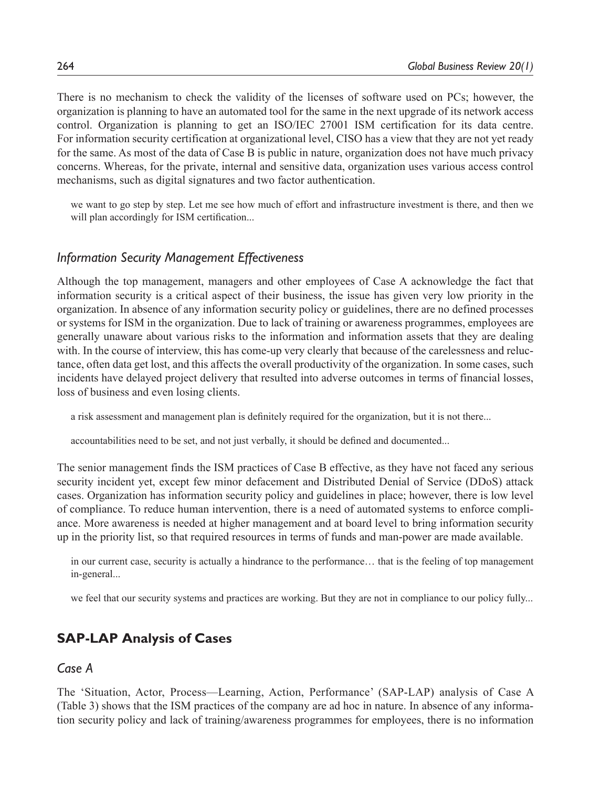There is no mechanism to check the validity of the licenses of software used on PCs; however, the organization is planning to have an automated tool for the same in the next upgrade of its network access control. Organization is planning to get an ISO/IEC 27001 ISM certification for its data centre. For information security certification at organizational level, CISO has a view that they are not yet ready for the same. As most of the data of Case B is public in nature, organization does not have much privacy concerns. Whereas, for the private, internal and sensitive data, organization uses various access control mechanisms, such as digital signatures and two factor authentication.

we want to go step by step. Let me see how much of effort and infrastructure investment is there, and then we will plan accordingly for ISM certification...

## *Information Security Management Effectiveness*

Although the top management, managers and other employees of Case A acknowledge the fact that information security is a critical aspect of their business, the issue has given very low priority in the organization. In absence of any information security policy or guidelines, there are no defined processes or systems for ISM in the organization. Due to lack of training or awareness programmes, employees are generally unaware about various risks to the information and information assets that they are dealing with. In the course of interview, this has come-up very clearly that because of the carelessness and reluctance, often data get lost, and this affects the overall productivity of the organization. In some cases, such incidents have delayed project delivery that resulted into adverse outcomes in terms of financial losses, loss of business and even losing clients.

a risk assessment and management plan is definitely required for the organization, but it is not there...

accountabilities need to be set, and not just verbally, it should be defined and documented...

The senior management finds the ISM practices of Case B effective, as they have not faced any serious security incident yet, except few minor defacement and Distributed Denial of Service (DDoS) attack cases. Organization has information security policy and guidelines in place; however, there is low level of compliance. To reduce human intervention, there is a need of automated systems to enforce compliance. More awareness is needed at higher management and at board level to bring information security up in the priority list, so that required resources in terms of funds and man-power are made available.

in our current case, security is actually a hindrance to the performance… that is the feeling of top management in-general...

we feel that our security systems and practices are working. But they are not in compliance to our policy fully...

# **SAP-LAP Analysis of Cases**

## *Case A*

The 'Situation, Actor, Process—Learning, Action, Performance' (SAP-LAP) analysis of Case A (Table 3) shows that the ISM practices of the company are ad hoc in nature. In absence of any information security policy and lack of training/awareness programmes for employees, there is no information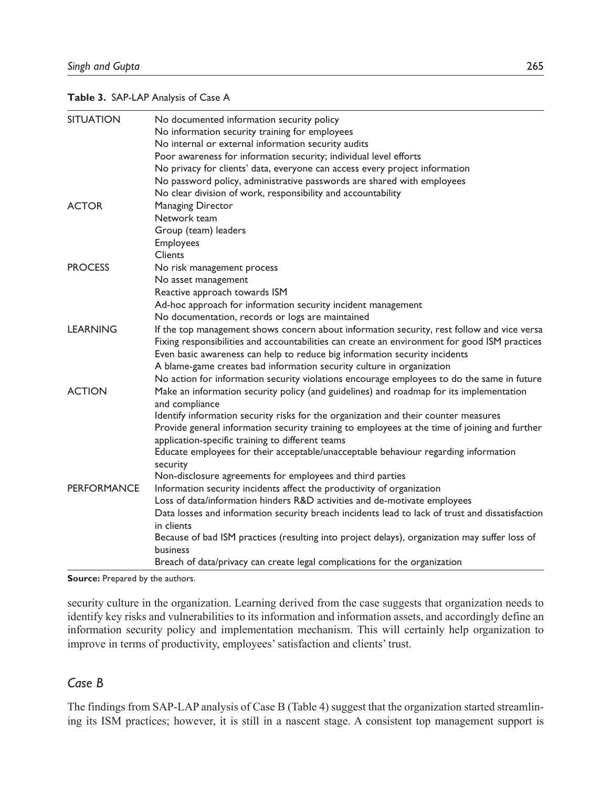#### **Table 3.** SAP-LAP Analysis of Case A

| <b>SITUATION</b>   | No documented information security policy                                                                 |
|--------------------|-----------------------------------------------------------------------------------------------------------|
|                    | No information security training for employees                                                            |
|                    | No internal or external information security audits                                                       |
|                    | Poor awareness for information security; individual level efforts                                         |
|                    | No privacy for clients' data, everyone can access every project information                               |
|                    | No password policy, administrative passwords are shared with employees                                    |
|                    | No clear division of work, responsibility and accountability                                              |
| <b>ACTOR</b>       | <b>Managing Director</b>                                                                                  |
|                    | Network team                                                                                              |
|                    | Group (team) leaders                                                                                      |
|                    | Employees                                                                                                 |
|                    | <b>Clients</b>                                                                                            |
| <b>PROCESS</b>     | No risk management process                                                                                |
|                    | No asset management                                                                                       |
|                    | Reactive approach towards ISM                                                                             |
|                    | Ad-hoc approach for information security incident management                                              |
|                    | No documentation, records or logs are maintained                                                          |
| <b>LEARNING</b>    | If the top management shows concern about information security, rest follow and vice versa                |
|                    | Fixing responsibilities and accountabilities can create an environment for good ISM practices             |
|                    | Even basic awareness can help to reduce big information security incidents                                |
|                    | A blame-game creates bad information security culture in organization                                     |
|                    | No action for information security violations encourage employees to do the same in future                |
| <b>ACTION</b>      | Make an information security policy (and guidelines) and roadmap for its implementation<br>and compliance |
|                    | Identify information security risks for the organization and their counter measures                       |
|                    | Provide general information security training to employees at the time of joining and further             |
|                    | application-specific training to different teams                                                          |
|                    | Educate employees for their acceptable/unacceptable behaviour regarding information                       |
|                    | security<br>Non-disclosure agreements for employees and third parties                                     |
| <b>PERFORMANCE</b> | Information security incidents affect the productivity of organization                                    |
|                    | Loss of data/information hinders R&D activities and de-motivate employees                                 |
|                    | Data losses and information security breach incidents lead to lack of trust and dissatisfaction           |
|                    | in clients                                                                                                |
|                    | Because of bad ISM practices (resulting into project delays), organization may suffer loss of             |
|                    | business                                                                                                  |
|                    | Breach of data/privacy can create legal complications for the organization                                |

**Source:** Prepared by the authors.

security culture in the organization. Learning derived from the case suggests that organization needs to identify key risks and vulnerabilities to its information and information assets, and accordingly define an information security policy and implementation mechanism. This will certainly help organization to improve in terms of productivity, employees' satisfaction and clients' trust.

## *Case B*

The findings from SAP-LAP analysis of Case B (Table 4) suggest that the organization started streamlining its ISM practices; however, it is still in a nascent stage. A consistent top management support is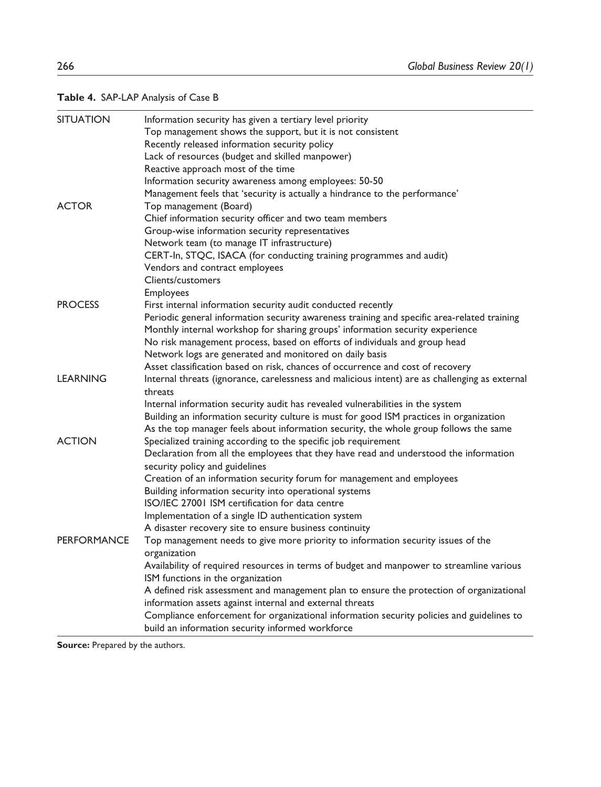## **Table 4.** SAP-LAP Analysis of Case B

| <b>SITUATION</b>   | Information security has given a tertiary level priority                                       |
|--------------------|------------------------------------------------------------------------------------------------|
|                    | Top management shows the support, but it is not consistent                                     |
|                    | Recently released information security policy                                                  |
|                    | Lack of resources (budget and skilled manpower)                                                |
|                    | Reactive approach most of the time                                                             |
|                    | Information security awareness among employees: 50-50                                          |
|                    | Management feels that 'security is actually a hindrance to the performance'                    |
| <b>ACTOR</b>       | Top management (Board)                                                                         |
|                    | Chief information security officer and two team members                                        |
|                    | Group-wise information security representatives                                                |
|                    | Network team (to manage IT infrastructure)                                                     |
|                    | CERT-In, STQC, ISACA (for conducting training programmes and audit)                            |
|                    | Vendors and contract employees                                                                 |
|                    | Clients/customers                                                                              |
|                    | <b>Employees</b>                                                                               |
| <b>PROCESS</b>     | First internal information security audit conducted recently                                   |
|                    | Periodic general information security awareness training and specific area-related training    |
|                    | Monthly internal workshop for sharing groups' information security experience                  |
|                    | No risk management process, based on efforts of individuals and group head                     |
|                    | Network logs are generated and monitored on daily basis                                        |
|                    | Asset classification based on risk, chances of occurrence and cost of recovery                 |
| <b>LEARNING</b>    | Internal threats (ignorance, carelessness and malicious intent) are as challenging as external |
|                    | threats                                                                                        |
|                    | Internal information security audit has revealed vulnerabilities in the system                 |
|                    | Building an information security culture is must for good ISM practices in organization        |
|                    | As the top manager feels about information security, the whole group follows the same          |
| <b>ACTION</b>      | Specialized training according to the specific job requirement                                 |
|                    | Declaration from all the employees that they have read and understood the information          |
|                    | security policy and guidelines                                                                 |
|                    | Creation of an information security forum for management and employees                         |
|                    | Building information security into operational systems                                         |
|                    | ISO/IEC 27001 ISM certification for data centre                                                |
|                    | Implementation of a single ID authentication system                                            |
|                    | A disaster recovery site to ensure business continuity                                         |
| <b>PERFORMANCE</b> | Top management needs to give more priority to information security issues of the               |
|                    | organization                                                                                   |
|                    | Availability of required resources in terms of budget and manpower to streamline various       |
|                    | ISM functions in the organization                                                              |
|                    | A defined risk assessment and management plan to ensure the protection of organizational       |
|                    | information assets against internal and external threats                                       |
|                    | Compliance enforcement for organizational information security policies and guidelines to      |
|                    | build an information security informed workforce                                               |

**Source:** Prepared by the authors.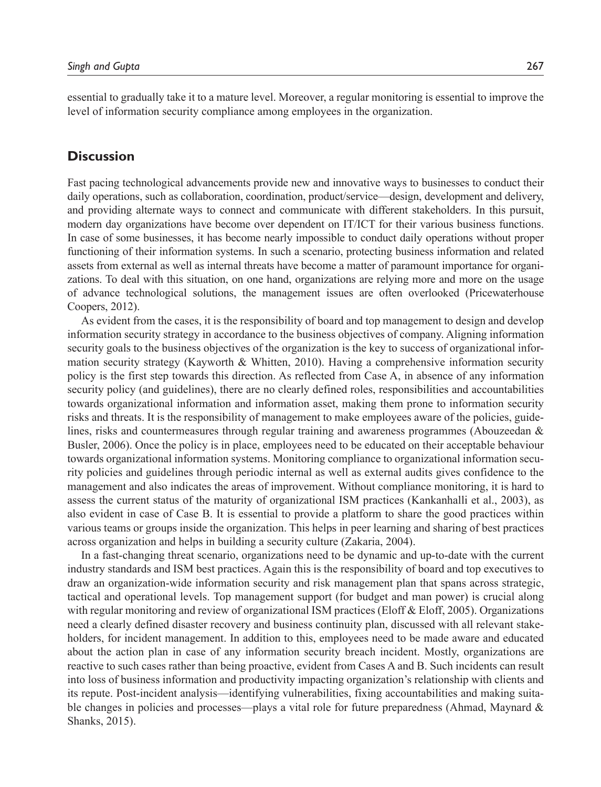essential to gradually take it to a mature level. Moreover, a regular monitoring is essential to improve the level of information security compliance among employees in the organization.

## **Discussion**

Fast pacing technological advancements provide new and innovative ways to businesses to conduct their daily operations, such as collaboration, coordination, product/service—design, development and delivery, and providing alternate ways to connect and communicate with different stakeholders. In this pursuit, modern day organizations have become over dependent on IT/ICT for their various business functions. In case of some businesses, it has become nearly impossible to conduct daily operations without proper functioning of their information systems. In such a scenario, protecting business information and related assets from external as well as internal threats have become a matter of paramount importance for organizations. To deal with this situation, on one hand, organizations are relying more and more on the usage of advance technological solutions, the management issues are often overlooked (Pricewaterhouse Coopers, 2012).

As evident from the cases, it is the responsibility of board and top management to design and develop information security strategy in accordance to the business objectives of company. Aligning information security goals to the business objectives of the organization is the key to success of organizational information security strategy (Kayworth & Whitten, 2010). Having a comprehensive information security policy is the first step towards this direction. As reflected from Case A, in absence of any information security policy (and guidelines), there are no clearly defined roles, responsibilities and accountabilities towards organizational information and information asset, making them prone to information security risks and threats. It is the responsibility of management to make employees aware of the policies, guidelines, risks and countermeasures through regular training and awareness programmes (Abouzeedan & Busler, 2006). Once the policy is in place, employees need to be educated on their acceptable behaviour towards organizational information systems. Monitoring compliance to organizational information security policies and guidelines through periodic internal as well as external audits gives confidence to the management and also indicates the areas of improvement. Without compliance monitoring, it is hard to assess the current status of the maturity of organizational ISM practices (Kankanhalli et al., 2003), as also evident in case of Case B. It is essential to provide a platform to share the good practices within various teams or groups inside the organization. This helps in peer learning and sharing of best practices across organization and helps in building a security culture (Zakaria, 2004).

In a fast-changing threat scenario, organizations need to be dynamic and up-to-date with the current industry standards and ISM best practices. Again this is the responsibility of board and top executives to draw an organization-wide information security and risk management plan that spans across strategic, tactical and operational levels. Top management support (for budget and man power) is crucial along with regular monitoring and review of organizational ISM practices (Eloff & Eloff, 2005). Organizations need a clearly defined disaster recovery and business continuity plan, discussed with all relevant stakeholders, for incident management. In addition to this, employees need to be made aware and educated about the action plan in case of any information security breach incident. Mostly, organizations are reactive to such cases rather than being proactive, evident from Cases A and B. Such incidents can result into loss of business information and productivity impacting organization's relationship with clients and its repute. Post-incident analysis—identifying vulnerabilities, fixing accountabilities and making suitable changes in policies and processes—plays a vital role for future preparedness (Ahmad, Maynard  $\&$ Shanks, 2015).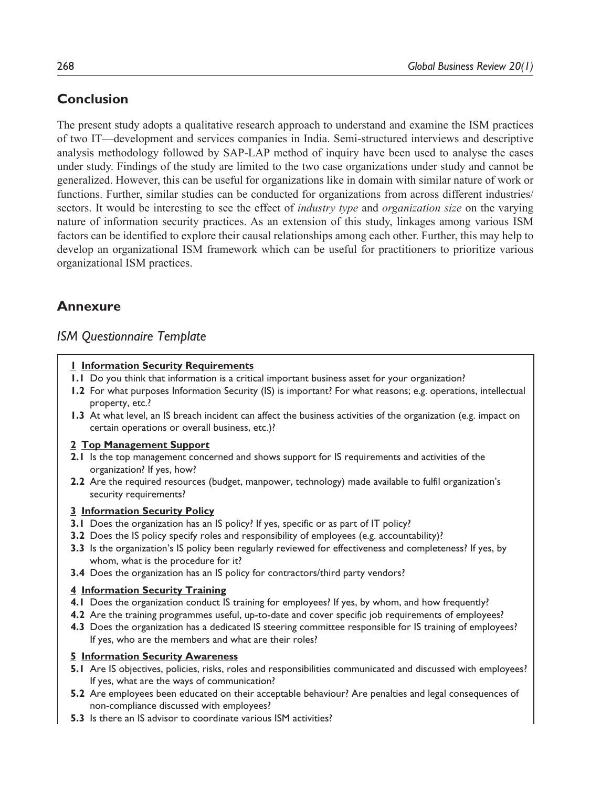# **Conclusion**

The present study adopts a qualitative research approach to understand and examine the ISM practices of two IT—development and services companies in India. Semi-structured interviews and descriptive analysis methodology followed by SAP-LAP method of inquiry have been used to analyse the cases under study. Findings of the study are limited to the two case organizations under study and cannot be generalized. However, this can be useful for organizations like in domain with similar nature of work or functions. Further, similar studies can be conducted for organizations from across different industries/ sectors. It would be interesting to see the effect of *industry type* and *organization size* on the varying nature of information security practices. As an extension of this study, linkages among various ISM factors can be identified to explore their causal relationships among each other. Further, this may help to develop an organizational ISM framework which can be useful for practitioners to prioritize various organizational ISM practices.

# **Annexure**

# *ISM Questionnaire Template*

## **1 Information Security Requirements**

- **1.1** Do you think that information is a critical important business asset for your organization?
- **1.2** For what purposes Information Security (IS) is important? For what reasons; e.g. operations, intellectual property, etc.?
- **1.3** At what level, an IS breach incident can affect the business activities of the organization (e.g. impact on certain operations or overall business, etc.)?

### **2 Top Management Support**

- **2.1** Is the top management concerned and shows support for IS requirements and activities of the organization? If yes, how?
- **2.2** Are the required resources (budget, manpower, technology) made available to fulfil organization's security requirements?

## **3 Information Security Policy**

- **3.1** Does the organization has an IS policy? If yes, specific or as part of IT policy?
- **3.2** Does the IS policy specify roles and responsibility of employees (e.g. accountability)?
- **3.3** Is the organization's IS policy been regularly reviewed for effectiveness and completeness? If yes, by whom, what is the procedure for it?
- **3.4** Does the organization has an IS policy for contractors/third party vendors?

### **4 Information Security Training**

- **4.1** Does the organization conduct IS training for employees? If yes, by whom, and how frequently?
- **4.2** Are the training programmes useful, up-to-date and cover specific job requirements of employees?
- **4.3** Does the organization has a dedicated IS steering committee responsible for IS training of employees? If yes, who are the members and what are their roles?

### **5 Information Security Awareness**

- **5.1** Are IS objectives, policies, risks, roles and responsibilities communicated and discussed with employees? If yes, what are the ways of communication?
- **5.2** Are employees been educated on their acceptable behaviour? Are penalties and legal consequences of non-compliance discussed with employees?
- **5.3** Is there an IS advisor to coordinate various ISM activities?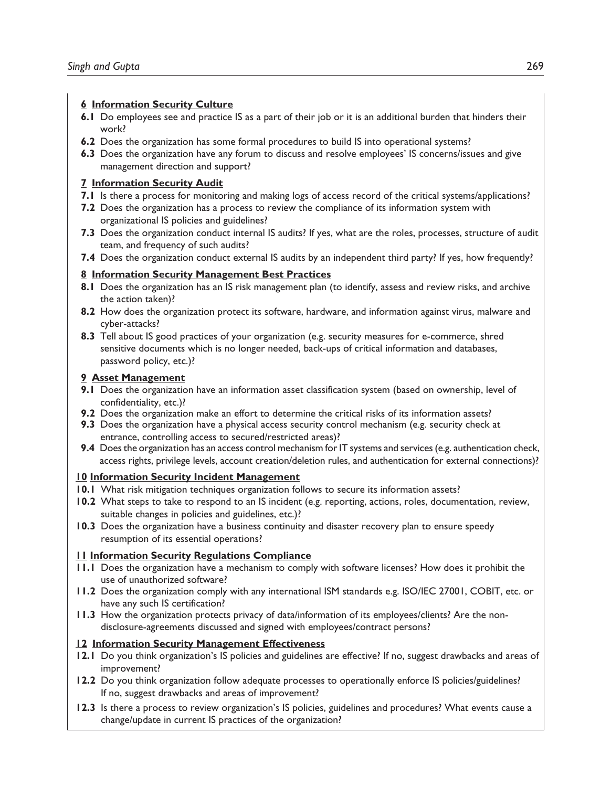#### **6 Information Security Culture**

- **6.1** Do employees see and practice IS as a part of their job or it is an additional burden that hinders their work?
- **6.2** Does the organization has some formal procedures to build IS into operational systems?
- **6.3** Does the organization have any forum to discuss and resolve employees' IS concerns/issues and give management direction and support?

#### **7 Information Security Audit**

- **7.1** Is there a process for monitoring and making logs of access record of the critical systems/applications?
- **7.2** Does the organization has a process to review the compliance of its information system with organizational IS policies and guidelines?
- **7.3** Does the organization conduct internal IS audits? If yes, what are the roles, processes, structure of audit team, and frequency of such audits?
- **7.4** Does the organization conduct external IS audits by an independent third party? If yes, how frequently?

#### **8 Information Security Management Best Practices**

- **8.1** Does the organization has an IS risk management plan (to identify, assess and review risks, and archive the action taken)?
- **8.2** How does the organization protect its software, hardware, and information against virus, malware and cyber-attacks?
- **8.3** Tell about IS good practices of your organization (e.g. security measures for e-commerce, shred sensitive documents which is no longer needed, back-ups of critical information and databases, password policy, etc.)?

#### **9 Asset Management**

- **9.1** Does the organization have an information asset classification system (based on ownership, level of confidentiality, etc.)?
- **9.2** Does the organization make an effort to determine the critical risks of its information assets?
- **9.3** Does the organization have a physical access security control mechanism (e.g. security check at entrance, controlling access to secured/restricted areas)?
- **9.4** Does the organization has an access control mechanism for IT systems and services (e.g. authentication check, access rights, privilege levels, account creation/deletion rules, and authentication for external connections)?

#### **10 Information Security Incident Management**

- **10.1** What risk mitigation techniques organization follows to secure its information assets?
- **10.2** What steps to take to respond to an IS incident (e.g. reporting, actions, roles, documentation, review, suitable changes in policies and guidelines, etc.)?
- **10.3** Does the organization have a business continuity and disaster recovery plan to ensure speedy resumption of its essential operations?

#### **11 Information Security Regulations Compliance**

- **11.1** Does the organization have a mechanism to comply with software licenses? How does it prohibit the use of unauthorized software?
- **11.2** Does the organization comply with any international ISM standards e.g. ISO/IEC 27001, COBIT, etc. or have any such IS certification?
- **11.3** How the organization protects privacy of data/information of its employees/clients? Are the nondisclosure-agreements discussed and signed with employees/contract persons?

### **12 Information Security Management Effectiveness**

- **12.1** Do you think organization's IS policies and guidelines are effective? If no, suggest drawbacks and areas of improvement?
- **12.2** Do you think organization follow adequate processes to operationally enforce IS policies/guidelines? If no, suggest drawbacks and areas of improvement?
- **12.3** Is there a process to review organization's IS policies, guidelines and procedures? What events cause a change/update in current IS practices of the organization?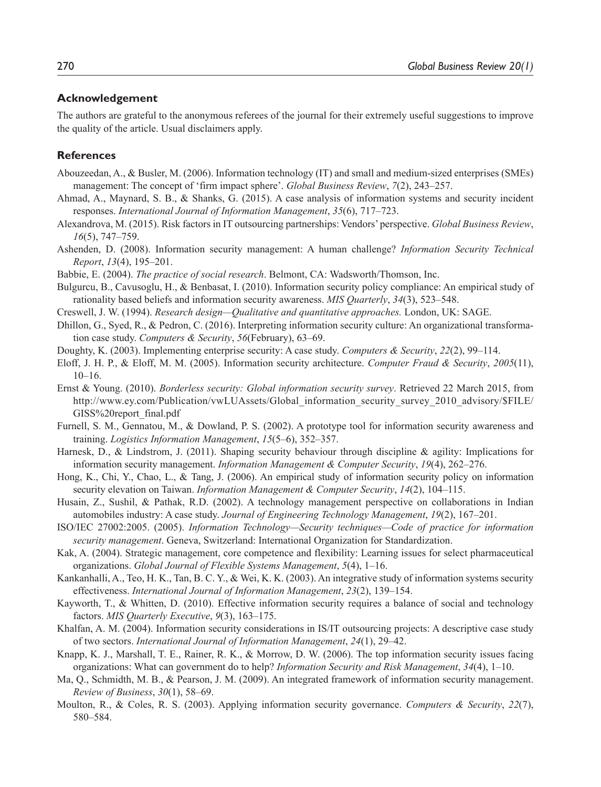#### **Acknowledgement**

The authors are grateful to the anonymous referees of the journal for their extremely useful suggestions to improve the quality of the article. Usual disclaimers apply.

#### **References**

- Abouzeedan, A., & Busler, M. (2006). Information technology (IT) and small and medium-sized enterprises (SMEs) management: The concept of 'firm impact sphere'. *Global Business Review*, *7*(2), 243–257.
- Ahmad, A., Maynard, S. B., & Shanks, G. (2015). A case analysis of information systems and security incident responses. *International Journal of Information Management*, *35*(6), 717–723.
- Alexandrova, M. (2015). Risk factors in IT outsourcing partnerships: Vendors' perspective. *Global Business Review*, *16*(5), 747–759.
- Ashenden, D. (2008). Information security management: A human challenge? *Information Security Technical Report*, *13*(4), 195–201.
- Babbie, E. (2004). *The practice of social research*. Belmont, CA: Wadsworth/Thomson, Inc.
- Bulgurcu, B., Cavusoglu, H., & Benbasat, I. (2010). Information security policy compliance: An empirical study of rationality based beliefs and information security awareness. *MIS Quarterly*, *34*(3), 523–548.
- Creswell, J. W. (1994). *Research design—Qualitative and quantitative approaches.* London, UK: SAGE.
- Dhillon, G., Syed, R., & Pedron, C. (2016). Interpreting information security culture: An organizational transformation case study. *Computers & Security*, *56*(February), 63–69.
- Doughty, K. (2003). Implementing enterprise security: A case study. *Computers & Security*, *22*(2), 99–114.
- Eloff, J. H. P., & Eloff, M. M. (2005). Information security architecture. *Computer Fraud & Security*, *2005*(11),  $10-16$ .
- Ernst & Young. (2010). *Borderless security: Global information security survey*. Retrieved 22 March 2015, from http://www.ey.com/Publication/vwLUAssets/Global\_information\_security\_survey\_2010\_advisory/\$FILE/ GISS%20report\_final.pdf
- Furnell, S. M., Gennatou, M., & Dowland, P. S. (2002). A prototype tool for information security awareness and training. *Logistics Information Management*, *15*(5–6), 352–357.
- Harnesk, D., & Lindstrom, J. (2011). Shaping security behaviour through discipline & agility: Implications for information security management. *Information Management & Computer Security*, *19*(4), 262–276.
- Hong, K., Chi, Y., Chao, L., & Tang, J. (2006). An empirical study of information security policy on information security elevation on Taiwan. *Information Management & Computer Security*, *14*(2), 104–115.
- Husain, Z., Sushil, & Pathak, R.D. (2002). A technology management perspective on collaborations in Indian automobiles industry: A case study. *Journal of Engineering Technology Management*, *19*(2), 167–201.
- ISO/IEC 27002:2005. (2005). *Information Technology—Security techniques—Code of practice for information security management*. Geneva, Switzerland: International Organization for Standardization.
- Kak, A. (2004). Strategic management, core competence and flexibility: Learning issues for select pharmaceutical organizations. *Global Journal of Flexible Systems Management*, *5*(4), 1–16.
- Kankanhalli, A., Teo, H. K., Tan, B. C. Y., & Wei, K. K. (2003). An integrative study of information systems security effectiveness. *International Journal of Information Management*, *23*(2), 139–154.
- Kayworth, T., & Whitten, D. (2010). Effective information security requires a balance of social and technology factors. *MIS Quarterly Executive*, *9*(3), 163–175.
- Khalfan, A. M. (2004). Information security considerations in IS/IT outsourcing projects: A descriptive case study of two sectors. *International Journal of Information Management*, *24*(1), 29–42.
- Knapp, K. J., Marshall, T. E., Rainer, R. K., & Morrow, D. W. (2006). The top information security issues facing organizations: What can government do to help? *Information Security and Risk Management*, *34*(4), 1–10.
- Ma, Q., Schmidth, M. B., & Pearson, J. M. (2009). An integrated framework of information security management. *Review of Business*, *30*(1), 58–69.
- Moulton, R., & Coles, R. S. (2003). Applying information security governance. *Computers & Security*, *22*(7), 580–584.